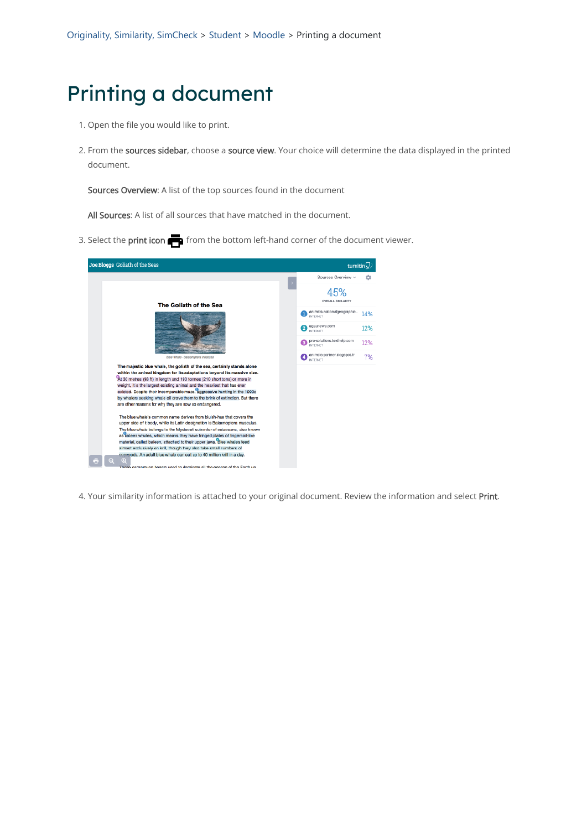- 1. Open the file you would like to print.
- 2. From the sources sidebar, choose a source view. Your choice will determine the data displayed in the printed document.

Sources Overview: A list of the top sources found in the document

All Sources: A list of all sources that have matched in the document.

3. Select the print icon  $\blacksquare$  from the bottom left-hand corner of the document viewer.



4. Your similarity information is attached to your original document. Review the information and select Print.

## Printing a document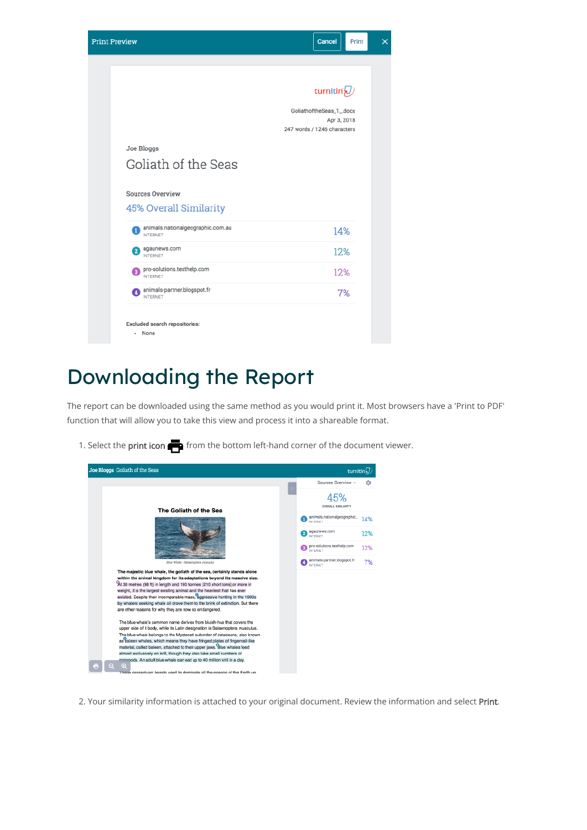

## Downloading the Report

The report can be downloaded using the same method as you would print it. Most browsers have a 'Print to PDF' function that will allow you to take this view and process it into a shareable format.

1. Select the print icon  $\blacksquare$  from the bottom left-hand corner of the document viewer.



upper side of it body, while its Latin designation is Balaenoptera musculus The blue whale belongs to the Mysteceti suborder of cetaceans, also known as baleen whales, which means they have fringed plates of fingernail-like material, called baleen, attached to their upper jaws. Blue whales feed almost exclusively on krill, though they also take small numbers of ods. An adult blue whale can eat up to 40 million krill in a day.

ntuan beasts used to dominate all the oceans of the Earth up

2. Your similarity information is attached to your original document. Review the information and select Print.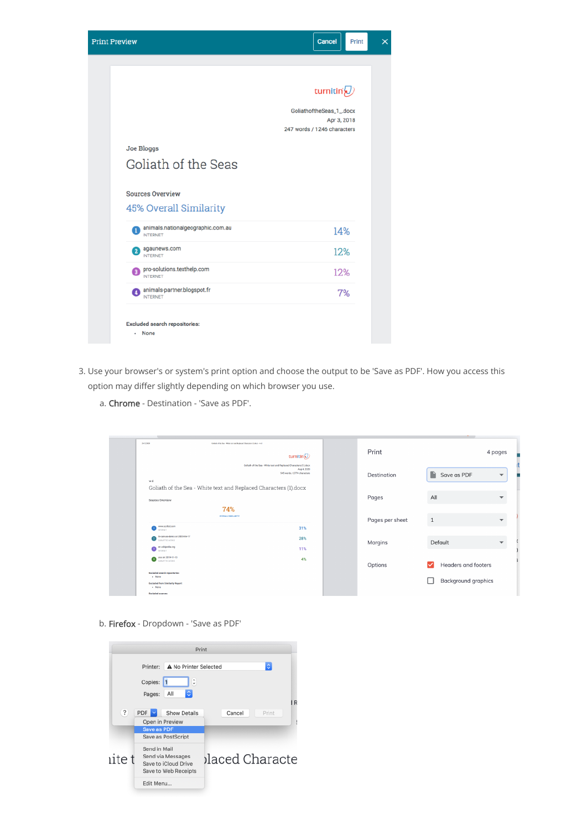

- 3. Use your browser's or system's print option and choose the output to be 'Save as PDF'. How you access this option may differ slightly depending on which browser you use.
	- a. Chrome Destination 'Save as PDF'.

| 24/12/2020<br>Goliath of the Sea - White text and Replaced Characters (1) doex - w d                                                                                                      | turnitin $\mathcal{D}$ | Print           |                            | 4 pages                  |
|-------------------------------------------------------------------------------------------------------------------------------------------------------------------------------------------|------------------------|-----------------|----------------------------|--------------------------|
| Goliath of the Sea - White text and Replaced Characters (1).docx<br>Aug 4, 2020<br>545 words / 2774 characters<br>w d<br>Goliath of the Sea - White text and Replaced Characters (1).docx |                        | Destination     | Save as PDF                | $\overline{\phantom{a}}$ |
| Sources Overview                                                                                                                                                                          |                        | Pages           | All                        |                          |
| 74%<br><b>OVERALL SIMILARITY</b><br>www.scribd.com<br>NTERNET                                                                                                                             | 31%                    | Pages per sheet | 1                          |                          |
| tii-canvas-demo on 2020-06-17<br>$\boxed{2}$<br><b>SUBMITTED WORKS</b><br>en.wikipedia.org<br>NTERNET                                                                                     | 28%<br>11%             | Margins         | Default                    |                          |
| uva on 2019-11-13<br>$\bullet$<br>SUBMITTED WORKS                                                                                                                                         | 4%                     | Options         | Headers and footers        |                          |
| <b>Excluded search repositories:</b><br>- None<br><b>Excluded from Similarity Report:</b><br>- None                                                                                       |                        |                 | <b>Background graphics</b> |                          |

b. Firefox - Dropdown - 'Save as PDF'

| Print                                  |                                                                                   |                 |  |  |
|----------------------------------------|-----------------------------------------------------------------------------------|-----------------|--|--|
| ۰<br>A No Printer Selected<br>Printer: |                                                                                   |                 |  |  |
|                                        | $\hat{\cdot}$<br>Copies: 1                                                        |                 |  |  |
| ٥<br>All<br>Pages:                     |                                                                                   |                 |  |  |
|                                        |                                                                                   | R               |  |  |
| ?                                      | $PDF$ $\vee$<br>Show Details                                                      | Cancel<br>Print |  |  |
|                                        | Open in Preview                                                                   |                 |  |  |
|                                        | Save as PDF                                                                       |                 |  |  |
| Save as PostScript                     |                                                                                   |                 |  |  |
| ite t                                  | Send in Mail<br>Send via Messages<br>Save to iCloud Drive<br>Save to Web Receipts | blaced Characte |  |  |
| Edit Menu                              |                                                                                   |                 |  |  |
|                                        |                                                                                   |                 |  |  |